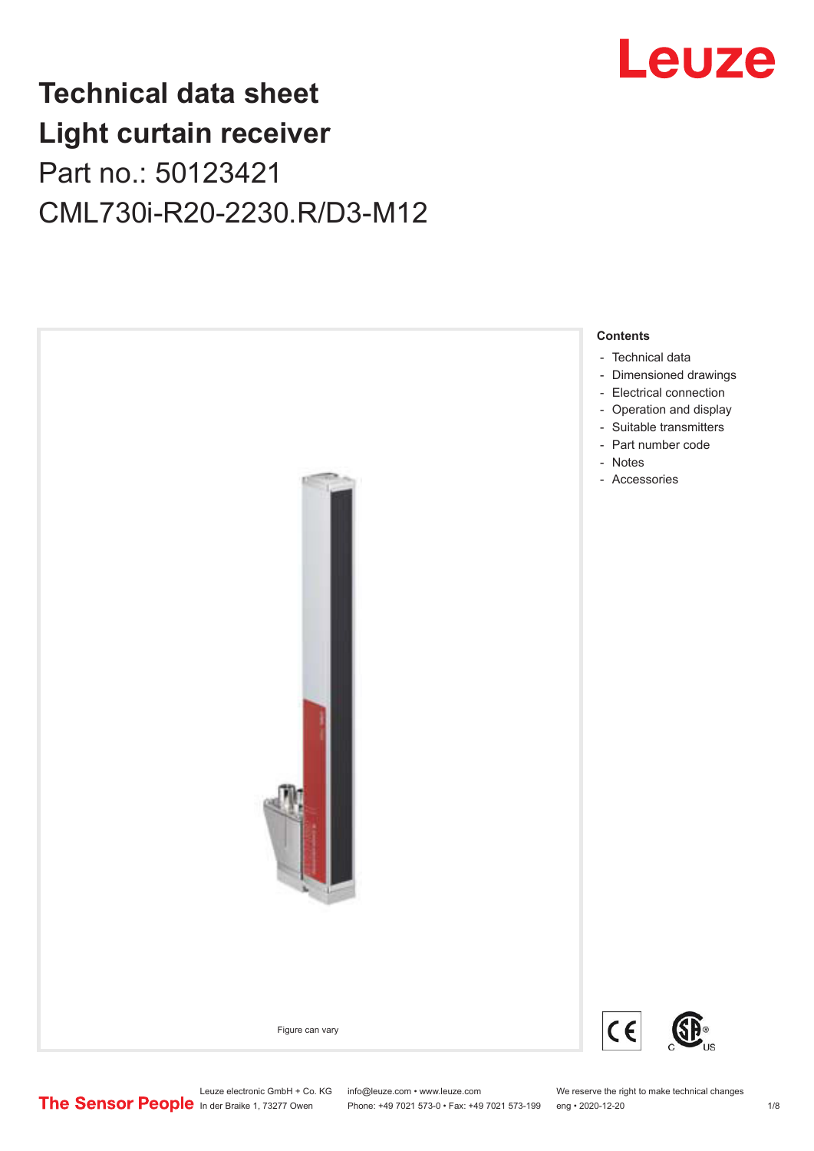

## **Technical data sheet Light curtain receiver** Part no.: 50123421 CML730i-R20-2230.R/D3-M12



Leuze electronic GmbH + Co. KG info@leuze.com • www.leuze.com We reserve the right to make technical changes<br>
The Sensor People in der Braike 1, 73277 Owen Phone: +49 7021 573-0 • Fax: +49 7021 573-199 eng • 2020-12-20

Phone: +49 7021 573-0 • Fax: +49 7021 573-199 eng • 2020-12-20 1 2020-12-20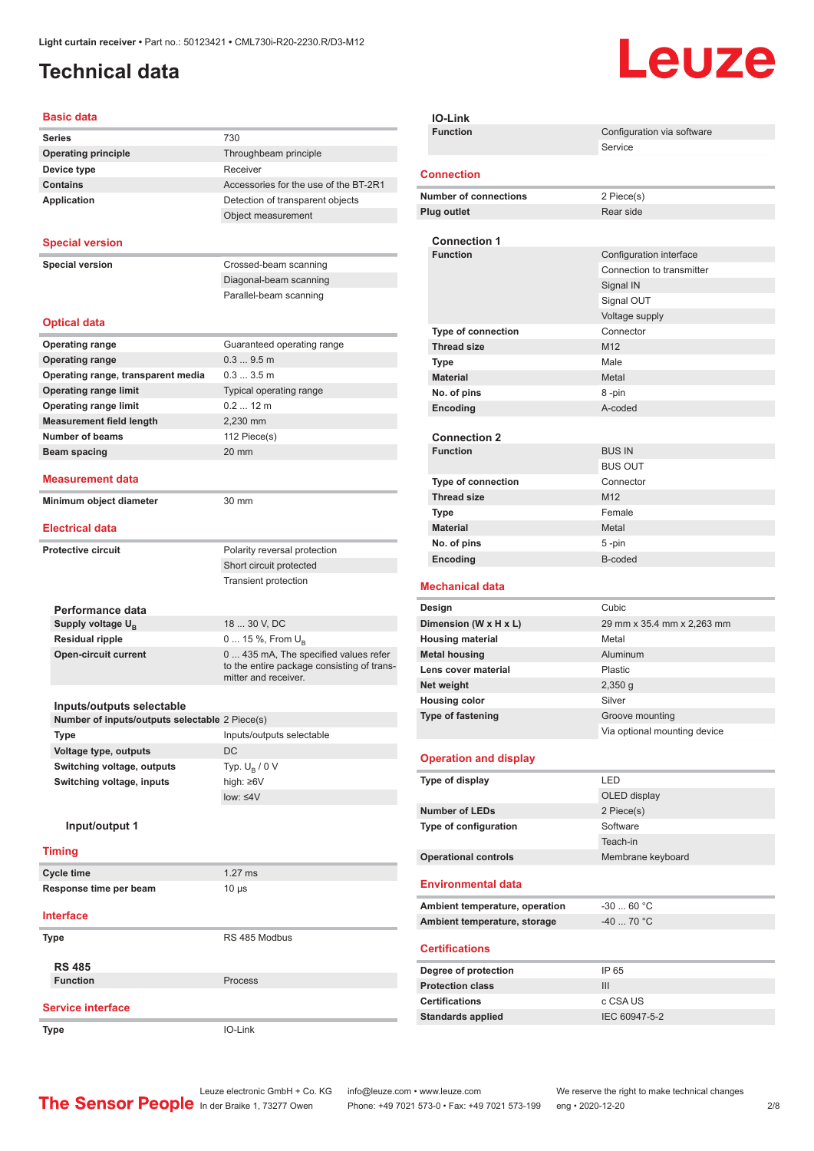### <span id="page-1-0"></span>**Technical data**

# Leuze

#### **Basic data**

| טוסט טופ                                       |                                                                    |
|------------------------------------------------|--------------------------------------------------------------------|
| <b>Series</b>                                  | 730                                                                |
| <b>Operating principle</b>                     | Throughbeam principle                                              |
| Device type                                    | Receiver                                                           |
| <b>Contains</b>                                | Accessories for the use of the BT-2R1                              |
| Application                                    | Detection of transparent objects                                   |
|                                                | Object measurement                                                 |
| <b>Special version</b>                         |                                                                    |
|                                                |                                                                    |
| <b>Special version</b>                         | Crossed-beam scanning                                              |
|                                                | Diagonal-beam scanning                                             |
|                                                | Parallel-beam scanning                                             |
| <b>Optical data</b>                            |                                                                    |
| <b>Operating range</b>                         | Guaranteed operating range                                         |
| <b>Operating range</b>                         | $0.39.5$ m                                                         |
| Operating range, transparent media             | 0.33.5m                                                            |
| <b>Operating range limit</b>                   | Typical operating range                                            |
| <b>Operating range limit</b>                   | $0.212$ m                                                          |
| <b>Measurement field length</b>                | 2,230 mm                                                           |
| <b>Number of beams</b>                         | 112 Piece(s)                                                       |
| <b>Beam spacing</b>                            | 20 mm                                                              |
|                                                |                                                                    |
| <b>Measurement data</b>                        |                                                                    |
| Minimum object diameter                        | 30 mm                                                              |
| <b>Electrical data</b>                         |                                                                    |
| <b>Protective circuit</b>                      | Polarity reversal protection                                       |
|                                                | Short circuit protected                                            |
|                                                | <b>Transient protection</b>                                        |
|                                                |                                                                    |
| Performance data                               |                                                                    |
| Supply voltage $U_{\rm B}$                     | 18  30 V, DC                                                       |
| <b>Residual ripple</b>                         | 0  15 %, From $U_{\rm B}$                                          |
| <b>Open-circuit current</b>                    | 0  435 mA, The specified values refer                              |
|                                                | to the entire package consisting of trans-<br>mitter and receiver. |
|                                                |                                                                    |
| Inputs/outputs selectable                      |                                                                    |
| Number of inputs/outputs selectable 2 Piece(s) |                                                                    |
| Type                                           | Inputs/outputs selectable                                          |
| Voltage type, outputs                          | DC                                                                 |
| Switching voltage, outputs                     | Typ. $U_B / 0 V$                                                   |
| Switching voltage, inputs                      | high: ≥6V                                                          |
|                                                | low: $\leq 4V$                                                     |
| Input/output 1                                 |                                                                    |
| <b>Timing</b>                                  |                                                                    |
|                                                |                                                                    |
| <b>Cycle time</b>                              | $1.27$ ms                                                          |
| Response time per beam                         | 10 µs                                                              |
| <b>Interface</b>                               |                                                                    |
| <b>Type</b>                                    | RS 485 Modbus                                                      |
| <b>RS 485</b>                                  |                                                                    |
| <b>Function</b>                                | Process                                                            |
|                                                |                                                                    |
| <b>Service interface</b>                       |                                                                    |
| <b>Type</b>                                    | IO-Link                                                            |

| <b>IO-Link</b>                                     |                              |
|----------------------------------------------------|------------------------------|
| <b>Function</b>                                    | Configuration via software   |
|                                                    | Service                      |
| <b>Connection</b>                                  |                              |
|                                                    |                              |
| <b>Number of connections</b><br><b>Plug outlet</b> | 2 Piece(s)<br>Rear side      |
|                                                    |                              |
| <b>Connection 1</b>                                |                              |
| <b>Function</b>                                    | Configuration interface      |
|                                                    | Connection to transmitter    |
|                                                    | Signal IN                    |
|                                                    | Signal OUT                   |
|                                                    | Voltage supply               |
| <b>Type of connection</b>                          | Connector                    |
| <b>Thread size</b>                                 | M12                          |
| Type                                               | Male                         |
| <b>Material</b>                                    | Metal                        |
| No. of pins                                        | 8-pin                        |
| Encoding                                           | A-coded                      |
| <b>Connection 2</b>                                |                              |
| <b>Function</b>                                    | <b>BUS IN</b>                |
|                                                    | <b>BUS OUT</b>               |
| Type of connection                                 | Connector                    |
| <b>Thread size</b>                                 | M <sub>12</sub>              |
| <b>Type</b>                                        | Female                       |
| <b>Material</b>                                    | Metal                        |
| No. of pins                                        | 5-pin                        |
| Encoding                                           | B-coded                      |
|                                                    |                              |
|                                                    |                              |
| <b>Mechanical data</b>                             |                              |
| Design                                             | Cubic                        |
| Dimension (W x H x L)                              | 29 mm x 35.4 mm x 2,263 mm   |
| <b>Housing material</b>                            | Metal                        |
| <b>Metal housing</b>                               | Aluminum                     |
| Lens cover material                                | Plastic                      |
| Net weight                                         | $2,350$ g<br>Silver          |
| <b>Housing color</b><br>Type of fastening          | Groove mounting              |
|                                                    | Via optional mounting device |
|                                                    |                              |
| <b>Operation and display</b>                       |                              |
| Type of display                                    | LED                          |
|                                                    | OLED display                 |
| <b>Number of LEDs</b>                              | 2 Piece(s)                   |
| Type of configuration                              | Software                     |
|                                                    | Teach-in                     |
| <b>Operational controls</b>                        | Membrane keyboard            |
| <b>Environmental data</b>                          |                              |
|                                                    |                              |
| Ambient temperature, operation                     | $-3060 °C$                   |
| Ambient temperature, storage                       | -40  70 °C                   |
| <b>Certifications</b>                              |                              |
| Degree of protection                               | IP 65                        |
| <b>Protection class</b>                            | III                          |
| <b>Certifications</b>                              | c CSA US                     |
| <b>Standards applied</b>                           | IEC 60947-5-2                |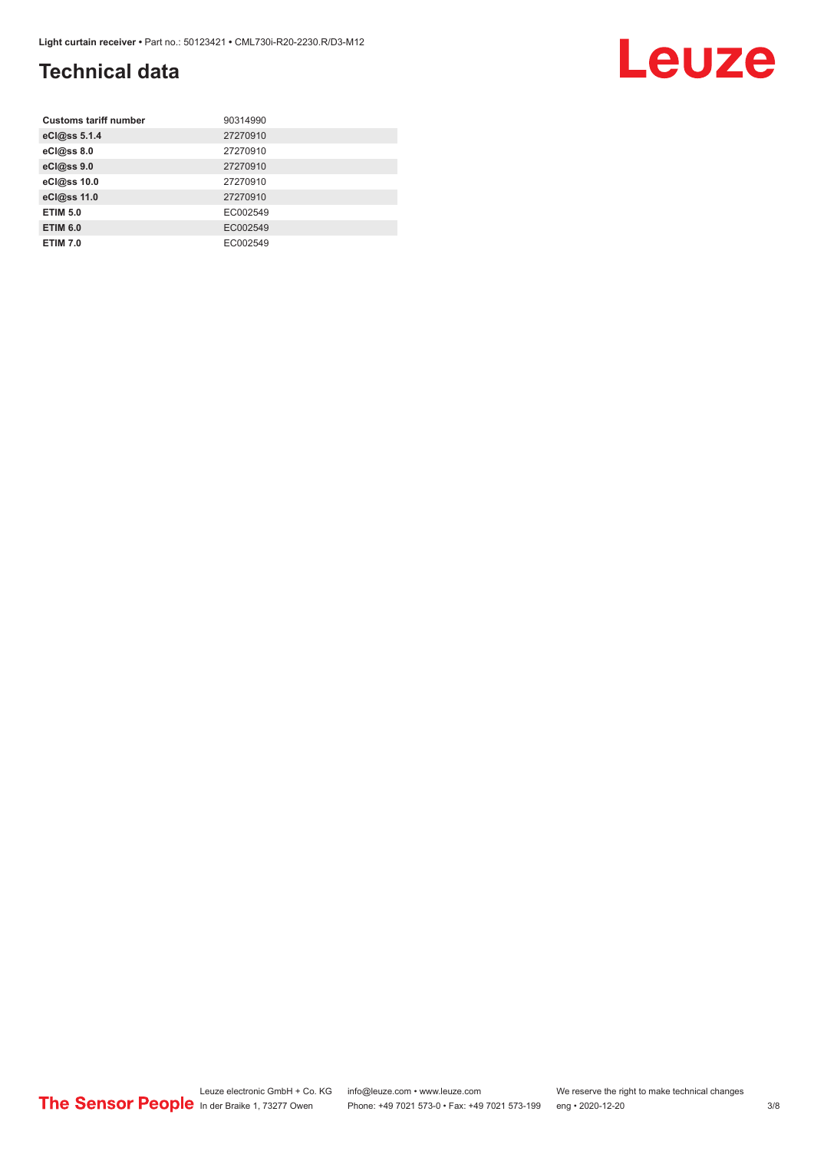### **Technical data**

| <b>Customs tariff number</b> | 90314990 |
|------------------------------|----------|
| eCl@ss 5.1.4                 | 27270910 |
| eCl@ss 8.0                   | 27270910 |
| eCl@ss 9.0                   | 27270910 |
| eCl@ss 10.0                  | 27270910 |
| eCl@ss 11.0                  | 27270910 |
| <b>ETIM 5.0</b>              | EC002549 |
| <b>ETIM 6.0</b>              | EC002549 |
| <b>ETIM 7.0</b>              | EC002549 |

#### Leuze electronic GmbH + Co. KG info@leuze.com • www.leuze.com We reserve the right to make technical changes ln der Braike 1, 73277 Owen Phone: +49 7021 573-0 • Fax: +49 7021 573-199 eng • 2020-12-20 3/8

Leuze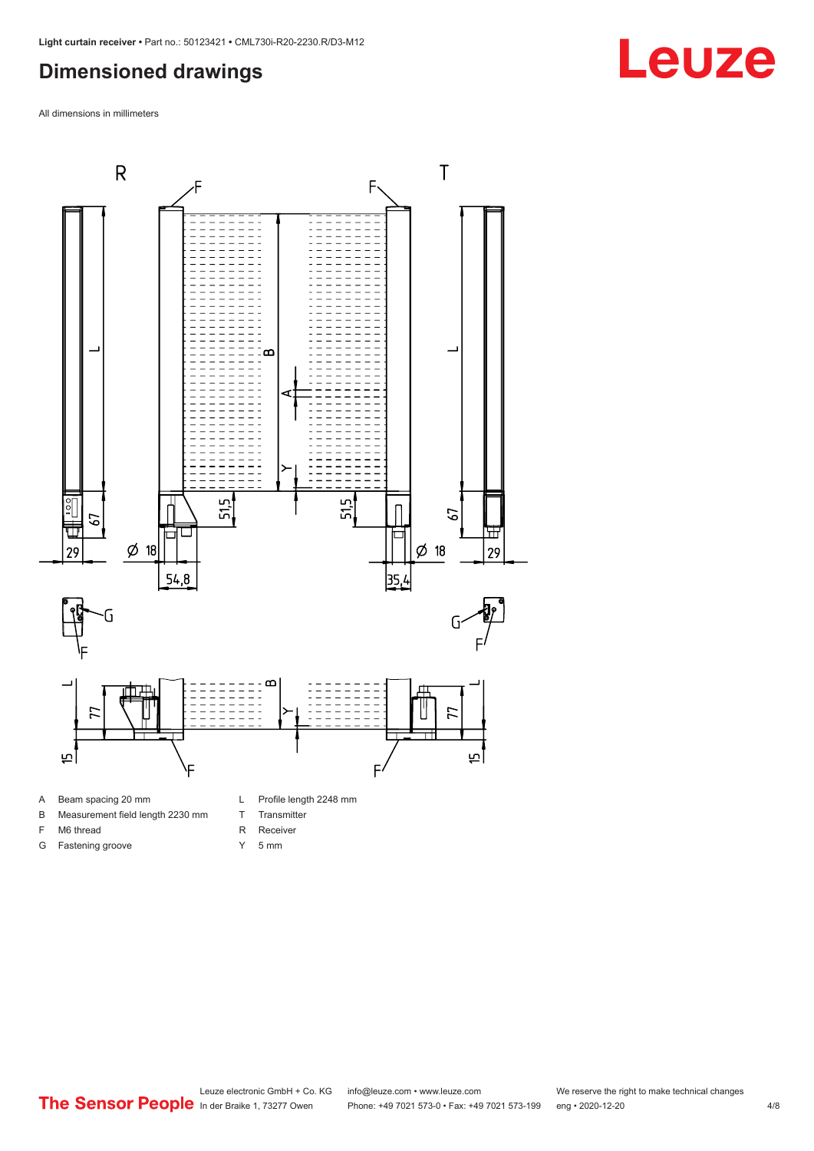#### <span id="page-3-0"></span>**Dimensioned drawings**

All dimensions in millimeters



- A Beam spacing 20 mm
- B Measurement field length 2230 mm
- F M6 thread

G Fastening groove

- R Receiver
	- Y 5 mm
	-

T Transmitter

Leuze electronic GmbH + Co. KG info@leuze.com • www.leuze.com We reserve the right to make technical changes<br>
The Sensor People in der Braike 1, 73277 Owen Phone: +49 7021 573-0 • Fax: +49 7021 573-199 eng • 2020-12-20 Phone: +49 7021 573-0 • Fax: +49 7021 573-199 eng • 2020-12-20 4/8

## **Leuze**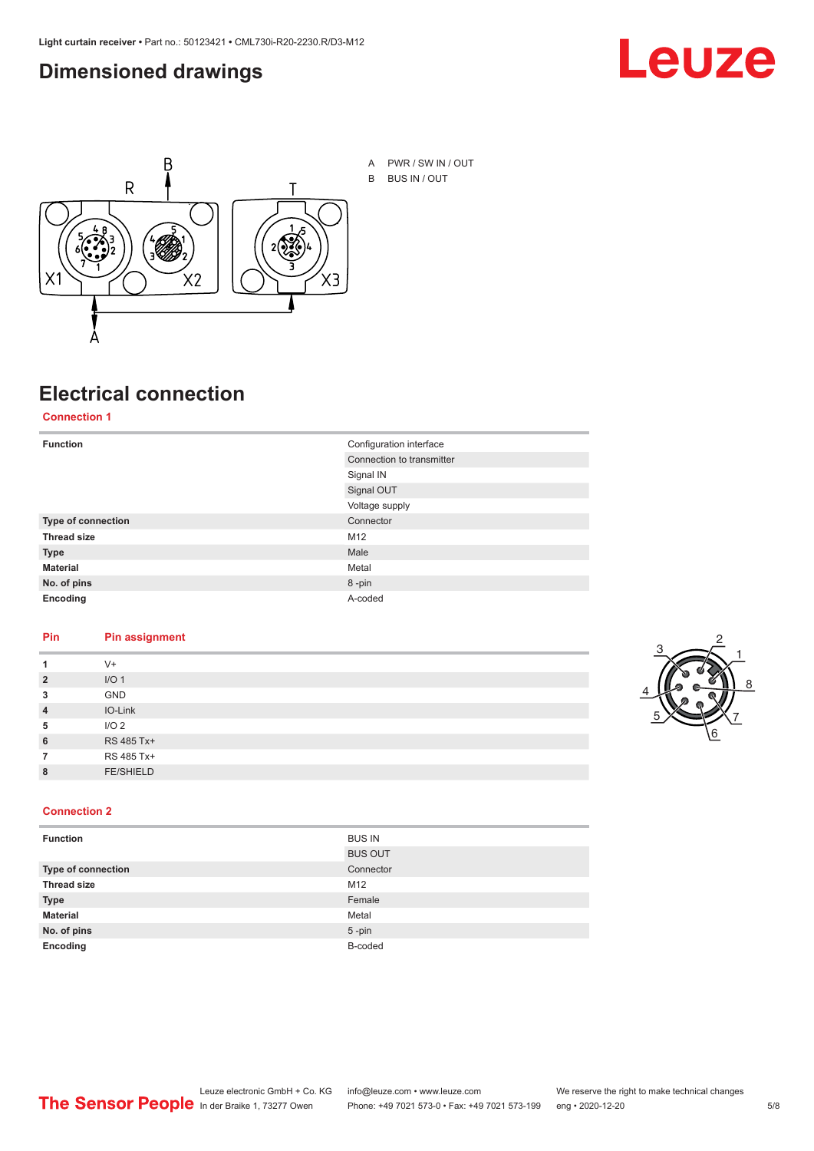#### <span id="page-4-0"></span>**Dimensioned drawings**





## **Electrical connection**

**Connection 1**

| <b>Function</b>    | Configuration interface   |
|--------------------|---------------------------|
|                    | Connection to transmitter |
|                    | Signal IN                 |
|                    | Signal OUT                |
|                    | Voltage supply            |
| Type of connection | Connector                 |
| <b>Thread size</b> | M12                       |
| <b>Type</b>        | Male                      |
| <b>Material</b>    | Metal                     |
| No. of pins        | 8-pin                     |
| Encoding           | A-coded                   |

#### **Pin Pin assignment**

|                | $V +$            |  |  |
|----------------|------------------|--|--|
| $\overline{2}$ | I/O <sub>1</sub> |  |  |
| 3              | <b>GND</b>       |  |  |
| $\overline{4}$ | IO-Link          |  |  |
| 5              | I/O <sub>2</sub> |  |  |
| 6              | RS 485 Tx+       |  |  |
|                | RS 485 Tx+       |  |  |
| 8              | <b>FE/SHIELD</b> |  |  |
|                |                  |  |  |



| <b>Function</b>    | <b>BUS IN</b>  |
|--------------------|----------------|
|                    | <b>BUS OUT</b> |
| Type of connection | Connector      |
| <b>Thread size</b> | M12            |
| <b>Type</b>        | Female         |
| <b>Material</b>    | Metal          |
| No. of pins        | $5 - pin$      |
| Encoding           | B-coded        |
|                    |                |

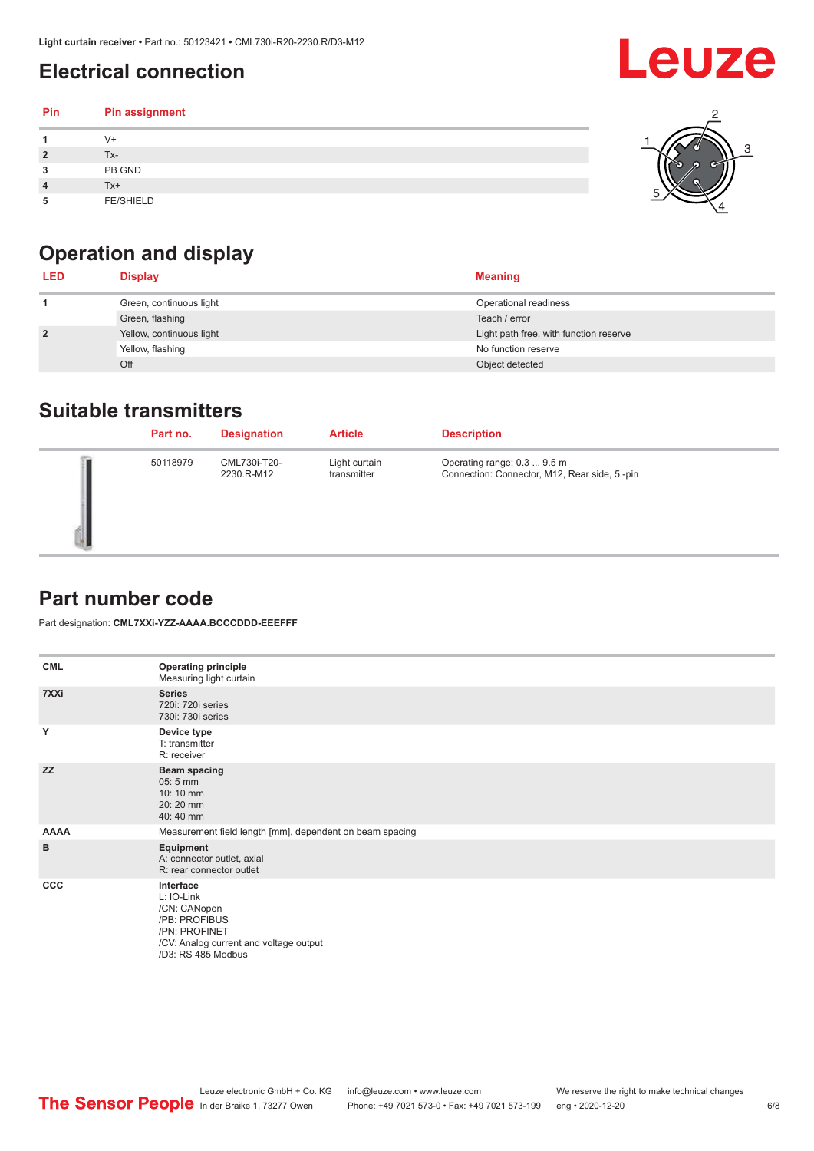### <span id="page-5-0"></span>**Electrical connection**

| Pin | Pin assignment   |  |
|-----|------------------|--|
|     | V+               |  |
| ∍   | Tx-              |  |
| 3   | PB GND           |  |
|     | Tx+              |  |
| 5   | <b>FE/SHIELD</b> |  |

### **Operation and display**

| <b>LED</b>     | <b>Display</b>           | <b>Meaning</b>                         |
|----------------|--------------------------|----------------------------------------|
|                | Green, continuous light  | Operational readiness                  |
|                | Green, flashing          | Teach / error                          |
| $\overline{2}$ | Yellow, continuous light | Light path free, with function reserve |
|                | Yellow, flashing         | No function reserve                    |
|                | Off                      | Object detected                        |

#### **Suitable transmitters**

| Part no. | <b>Designation</b>         | <b>Article</b>               | <b>Description</b>                                                          |
|----------|----------------------------|------------------------------|-----------------------------------------------------------------------------|
| 50118979 | CML730i-T20-<br>2230.R-M12 | Light curtain<br>transmitter | Operating range: 0.3  9.5 m<br>Connection: Connector, M12, Rear side, 5-pin |

#### **Part number code**

Part designation: **CML7XXi-YZZ-AAAA.BCCCDDD-EEEFFF**

| <b>CML</b>  | <b>Operating principle</b><br>Measuring light curtain                                                                                     |
|-------------|-------------------------------------------------------------------------------------------------------------------------------------------|
| 7XXi        | <b>Series</b><br>720i: 720i series<br>730i: 730i series                                                                                   |
| Y           | Device type<br>T: transmitter<br>R: receiver                                                                                              |
| <b>ZZ</b>   | <b>Beam spacing</b><br>$05:5$ mm<br>10:10 mm<br>20:20 mm<br>40:40 mm                                                                      |
| <b>AAAA</b> | Measurement field length [mm], dependent on beam spacing                                                                                  |
| B           | Equipment<br>A: connector outlet, axial<br>R: rear connector outlet                                                                       |
| CCC         | Interface<br>L: IO-Link<br>/CN: CANopen<br>/PB: PROFIBUS<br>/PN: PROFINET<br>/CV: Analog current and voltage output<br>/D3: RS 485 Modbus |

**Leuze**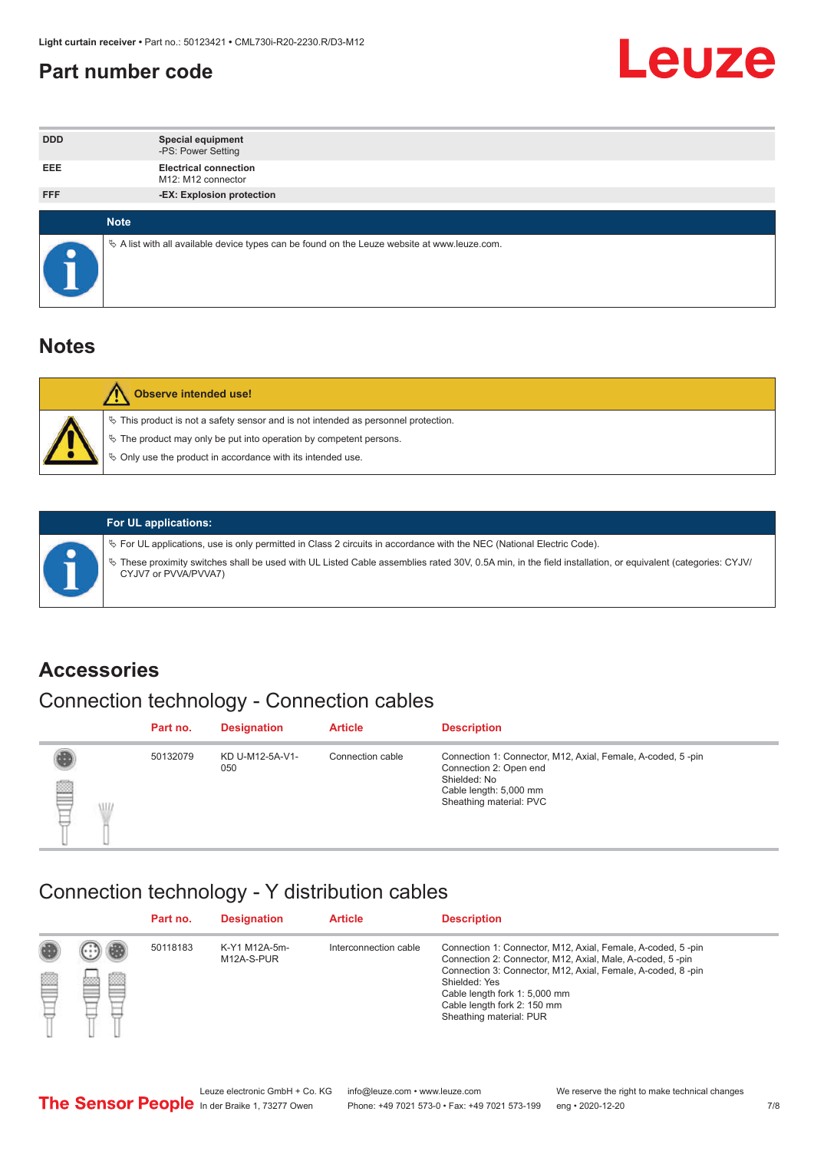#### <span id="page-6-0"></span>**Part number code**



| <b>DDD</b> | <b>Special equipment</b><br>-PS: Power Setting                                                    |
|------------|---------------------------------------------------------------------------------------------------|
| <b>EEE</b> | <b>Electrical connection</b><br>M12: M12 connector                                                |
| <b>FFF</b> | -EX: Explosion protection                                                                         |
|            | <b>Note</b>                                                                                       |
| $\bullet$  | Vector A list with all available device types can be found on the Leuze website at www.leuze.com. |

#### **Notes**

| $\%$ This product is not a safety sensor and is not intended as personnel protection.<br>₹ The product may only be put into operation by competent persons.<br>♦ Only use the product in accordance with its intended use. |
|----------------------------------------------------------------------------------------------------------------------------------------------------------------------------------------------------------------------------|



#### **For UL applications:**

ª For UL applications, use is only permitted in Class 2 circuits in accordance with the NEC (National Electric Code). ª These proximity switches shall be used with UL Listed Cable assemblies rated 30V, 0.5A min, in the field installation, or equivalent (categories: CYJV/ CYJV7 or PVVA/PVVA7)

#### **Accessories**

### Connection technology - Connection cables

|        | Part no. | <b>Designation</b>     | <b>Article</b>   | <b>Description</b>                                                                                                                                         |
|--------|----------|------------------------|------------------|------------------------------------------------------------------------------------------------------------------------------------------------------------|
| 2<br>W | 50132079 | KD U-M12-5A-V1-<br>050 | Connection cable | Connection 1: Connector, M12, Axial, Female, A-coded, 5-pin<br>Connection 2: Open end<br>Shielded: No<br>Cable length: 5,000 mm<br>Sheathing material: PVC |

#### Connection technology - Y distribution cables

|   |   | Part no. | <b>Designation</b>          | <b>Article</b>        | <b>Description</b>                                                                                                                                                                                                                                                                                  |
|---|---|----------|-----------------------------|-----------------------|-----------------------------------------------------------------------------------------------------------------------------------------------------------------------------------------------------------------------------------------------------------------------------------------------------|
| Ø | ø | 50118183 | K-Y1 M12A-5m-<br>M12A-S-PUR | Interconnection cable | Connection 1: Connector, M12, Axial, Female, A-coded, 5-pin<br>Connection 2: Connector, M12, Axial, Male, A-coded, 5-pin<br>Connection 3: Connector, M12, Axial, Female, A-coded, 8-pin<br>Shielded: Yes<br>Cable length fork 1: 5,000 mm<br>Cable length fork 2: 150 mm<br>Sheathing material: PUR |